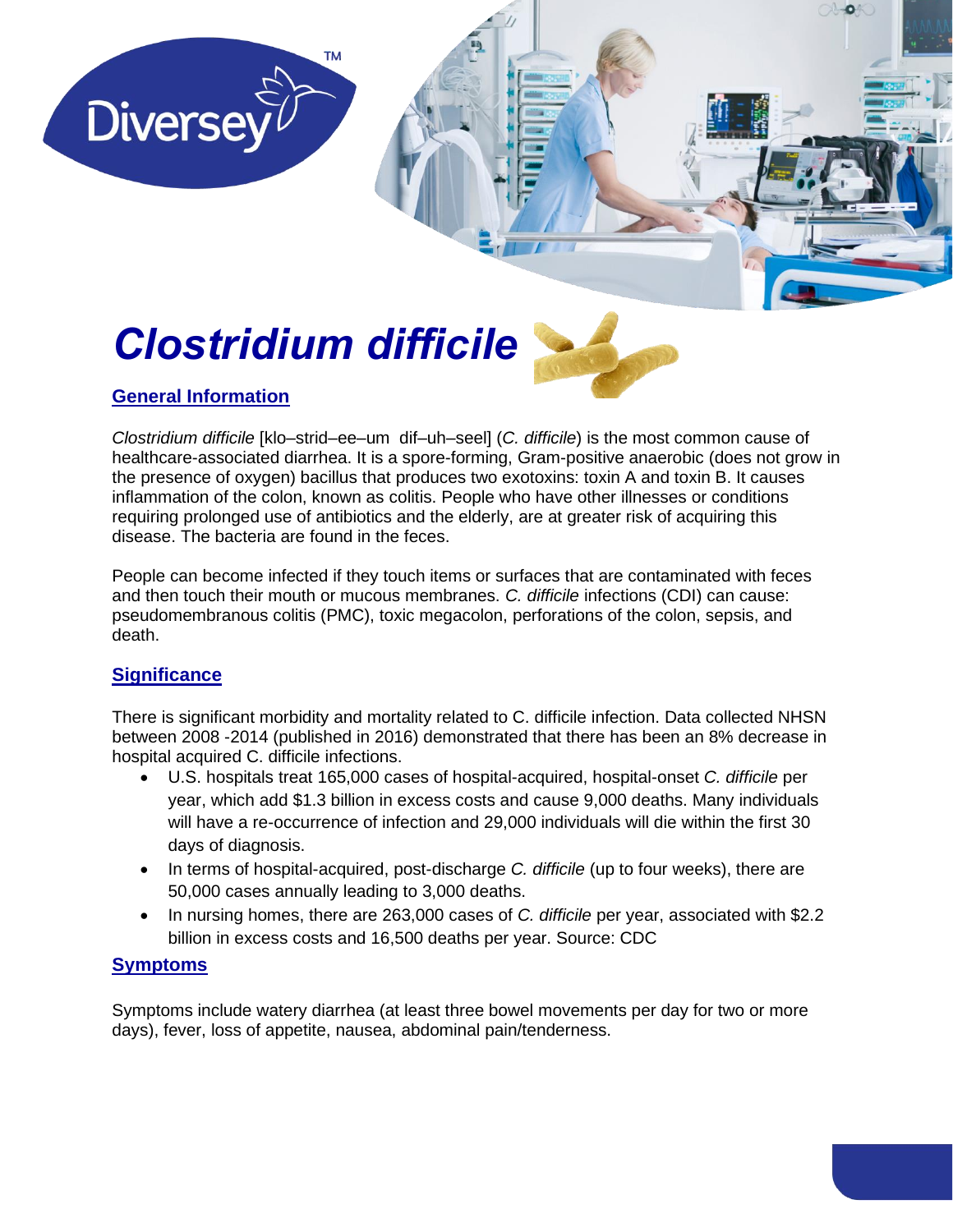# *Clostridium difficile*

**TM** 



pg. 1

## **General Information**

**Diversey** 

*Clostridium difficile* [klo–strid–ee–um dif–uh–seel] (*C. difficile*) is the most common cause of healthcare-associated diarrhea. It is a spore-forming, Gram-positive anaerobic (does not grow in the presence of oxygen) bacillus that produces two exotoxins: toxin A and toxin B. It causes inflammation of the colon, known as colitis. People who have other illnesses or conditions requiring prolonged use of antibiotics and the elderly, are at greater risk of acquiring this disease. The bacteria are found in the feces.

People can become infected if they touch items or surfaces that are contaminated with feces and then touch their mouth or mucous membranes. *C. difficile* infections (CDI) can cause: pseudomembranous colitis (PMC), toxic megacolon, perforations of the colon, sepsis, and death.

### **Significance**

There is significant morbidity and mortality related to C. difficile infection. Data collected NHSN between 2008 -2014 (published in 2016) demonstrated that there has been an 8% decrease in hospital acquired C. difficile infections.

- U.S. hospitals treat 165,000 cases of hospital-acquired, hospital-onset *C. difficile* per year, which add \$1.3 billion in excess costs and cause 9,000 deaths. Many individuals will have a re-occurrence of infection and 29,000 individuals will die within the first 30 days of diagnosis.
- In terms of hospital-acquired, post-discharge *C. difficile* (up to four weeks), there are 50,000 cases annually leading to 3,000 deaths.
- In nursing homes, there are 263,000 cases of *C. difficile* per year, associated with \$2.2 billion in excess costs and 16,500 deaths per year. Source: CDC

#### **Symptoms**

Symptoms include watery diarrhea (at least three bowel movements per day for two or more days), fever, loss of appetite, nausea, abdominal pain/tenderness.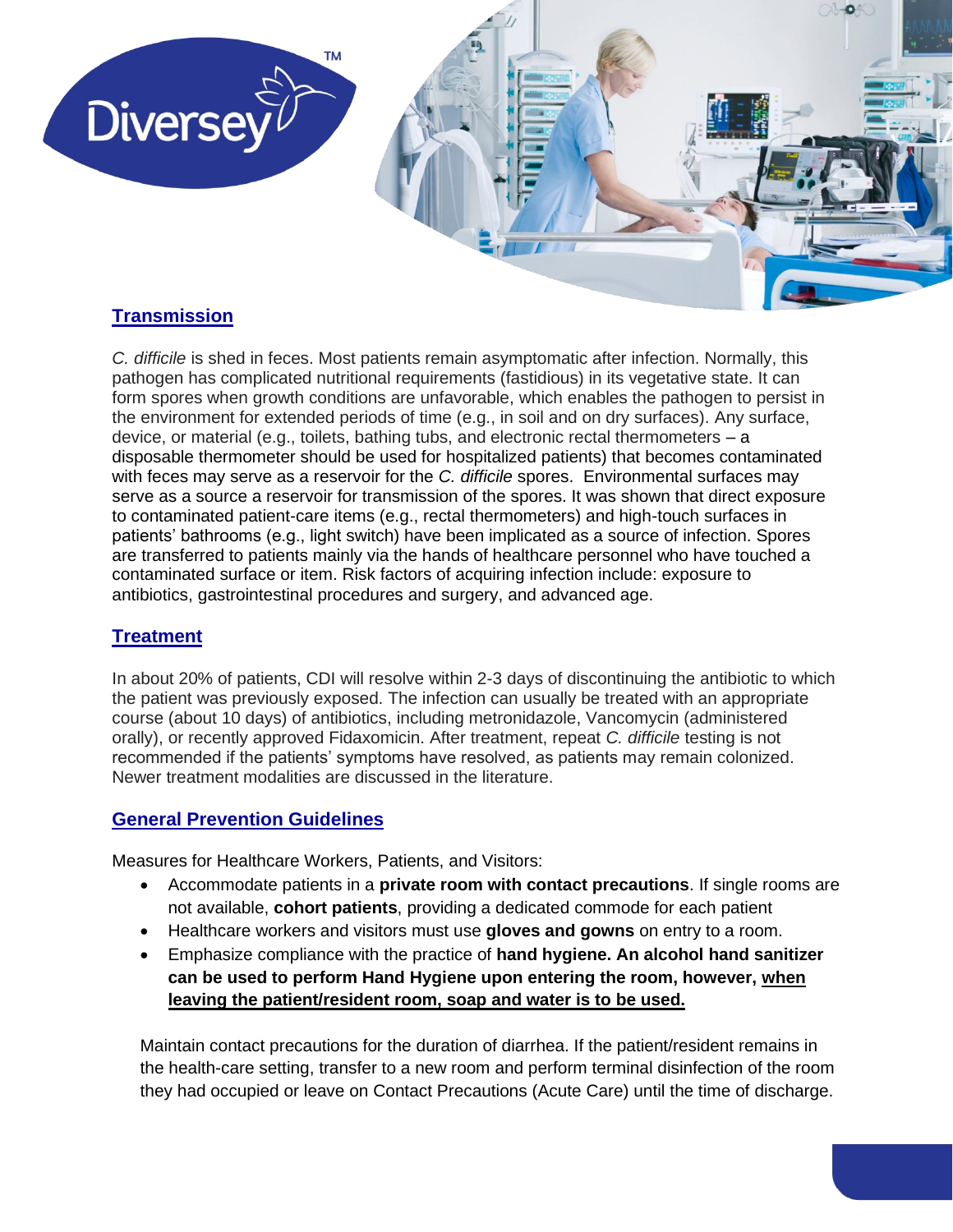

#### **Transmission**

*C. difficile* is shed in feces. Most patients remain asymptomatic after infection. Normally, this pathogen has complicated nutritional requirements (fastidious) in its vegetative state. It can form spores when growth conditions are unfavorable, which enables the pathogen to persist in the environment for extended periods of time (e.g., in soil and on dry surfaces). Any surface, device, or material (e.g., toilets, bathing tubs, and electronic rectal thermometers – a disposable thermometer should be used for hospitalized patients) that becomes contaminated with feces may serve as a reservoir for the *C. difficile* spores. Environmental surfaces may serve as a source a reservoir for transmission of the spores. It was shown that direct exposure to contaminated patient-care items (e.g., rectal thermometers) and high-touch surfaces in patients' bathrooms (e.g., light switch) have been implicated as a source of infection. Spores are transferred to patients mainly via the hands of healthcare personnel who have touched a contaminated surface or item. Risk factors of acquiring infection include: exposure to antibiotics, gastrointestinal procedures and surgery, and advanced age.

#### **Treatment**

In about 20% of patients, CDI will resolve within 2-3 days of discontinuing the antibiotic to which the patient was previously exposed. The infection can usually be treated with an appropriate course (about 10 days) of antibiotics, including metronidazole, Vancomycin (administered orally), or recently approved Fidaxomicin. After treatment, repeat *C. difficile* testing is not recommended if the patients' symptoms have resolved, as patients may remain colonized. Newer treatment modalities are discussed in the literature.

#### **General Prevention Guidelines**

Measures for Healthcare Workers, Patients, and Visitors:

- Accommodate patients in a **private room with contact precautions**. If single rooms are not available, **cohort patients**, providing a dedicated commode for each patient
- Healthcare workers and visitors must use **gloves and gowns** on entry to a room.
- Emphasize compliance with the practice of **hand hygiene. An alcohol hand sanitizer can be used to perform Hand Hygiene upon entering the room, however, when leaving the patient/resident room, soap and water is to be used.**

Maintain contact precautions for the duration of diarrhea. If the patient/resident remains in the health-care setting, transfer to a new room and perform terminal disinfection of the room they had occupied or leave on Contact Precautions (Acute Care) until the time of discharge.

pg. 2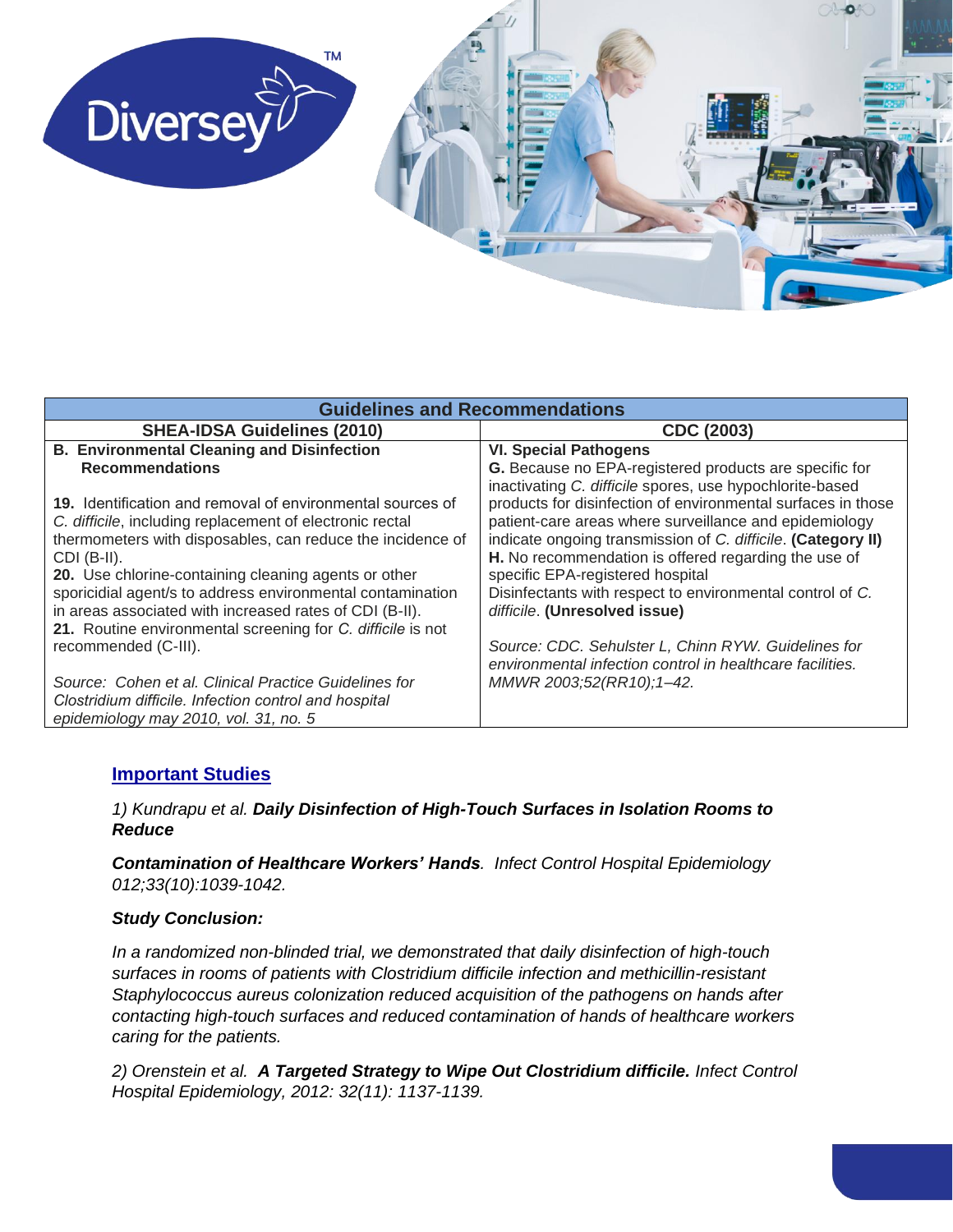

| <b>Guidelines and Recommendations</b>                                                                                                                                                                                                                         |                                                                                                                                                                                                                                                                                                                                                |  |  |
|---------------------------------------------------------------------------------------------------------------------------------------------------------------------------------------------------------------------------------------------------------------|------------------------------------------------------------------------------------------------------------------------------------------------------------------------------------------------------------------------------------------------------------------------------------------------------------------------------------------------|--|--|
| <b>SHEA-IDSA Guidelines (2010)</b>                                                                                                                                                                                                                            | CDC (2003)                                                                                                                                                                                                                                                                                                                                     |  |  |
| <b>B. Environmental Cleaning and Disinfection</b>                                                                                                                                                                                                             | <b>VI. Special Pathogens</b>                                                                                                                                                                                                                                                                                                                   |  |  |
| <b>Recommendations</b>                                                                                                                                                                                                                                        | G. Because no EPA-registered products are specific for                                                                                                                                                                                                                                                                                         |  |  |
| 19. Identification and removal of environmental sources of<br>C. difficile, including replacement of electronic rectal<br>thermometers with disposables, can reduce the incidence of<br>$CDI$ (B-II).<br>20. Use chlorine-containing cleaning agents or other | inactivating C. difficile spores, use hypochlorite-based<br>products for disinfection of environmental surfaces in those<br>patient-care areas where surveillance and epidemiology<br>indicate ongoing transmission of C. difficile. (Category II)<br>H. No recommendation is offered regarding the use of<br>specific EPA-registered hospital |  |  |
| sporicidial agent/s to address environmental contamination<br>in areas associated with increased rates of CDI (B-II).<br>21. Routine environmental screening for C. difficile is not                                                                          | Disinfectants with respect to environmental control of C.<br>difficile. (Unresolved issue)                                                                                                                                                                                                                                                     |  |  |
| recommended (C-III).                                                                                                                                                                                                                                          | Source: CDC. Sehulster L, Chinn RYW. Guidelines for<br>environmental infection control in healthcare facilities.                                                                                                                                                                                                                               |  |  |
| Source: Cohen et al. Clinical Practice Guidelines for                                                                                                                                                                                                         | MMWR 2003;52(RR10);1-42.                                                                                                                                                                                                                                                                                                                       |  |  |
| Clostridium difficile. Infection control and hospital<br>epidemiology may 2010, vol. 31, no. 5                                                                                                                                                                |                                                                                                                                                                                                                                                                                                                                                |  |  |

#### **Important Studies**

#### *1) Kundrapu et al. Daily Disinfection of High-Touch Surfaces in Isolation Rooms to Reduce*

*Contamination of Healthcare Workers' Hands. Infect Control Hospital Epidemiology 012;33(10):1039-1042.*

#### *Study Conclusion:*

*In a randomized non-blinded trial, we demonstrated that daily disinfection of high-touch surfaces in rooms of patients with Clostridium difficile infection and methicillin-resistant Staphylococcus aureus colonization reduced acquisition of the pathogens on hands after contacting high-touch surfaces and reduced contamination of hands of healthcare workers caring for the patients.*

*2) Orenstein et al. A Targeted Strategy to Wipe Out Clostridium difficile. Infect Control Hospital Epidemiology, 2012: 32(11): 1137-1139.*

pg. 3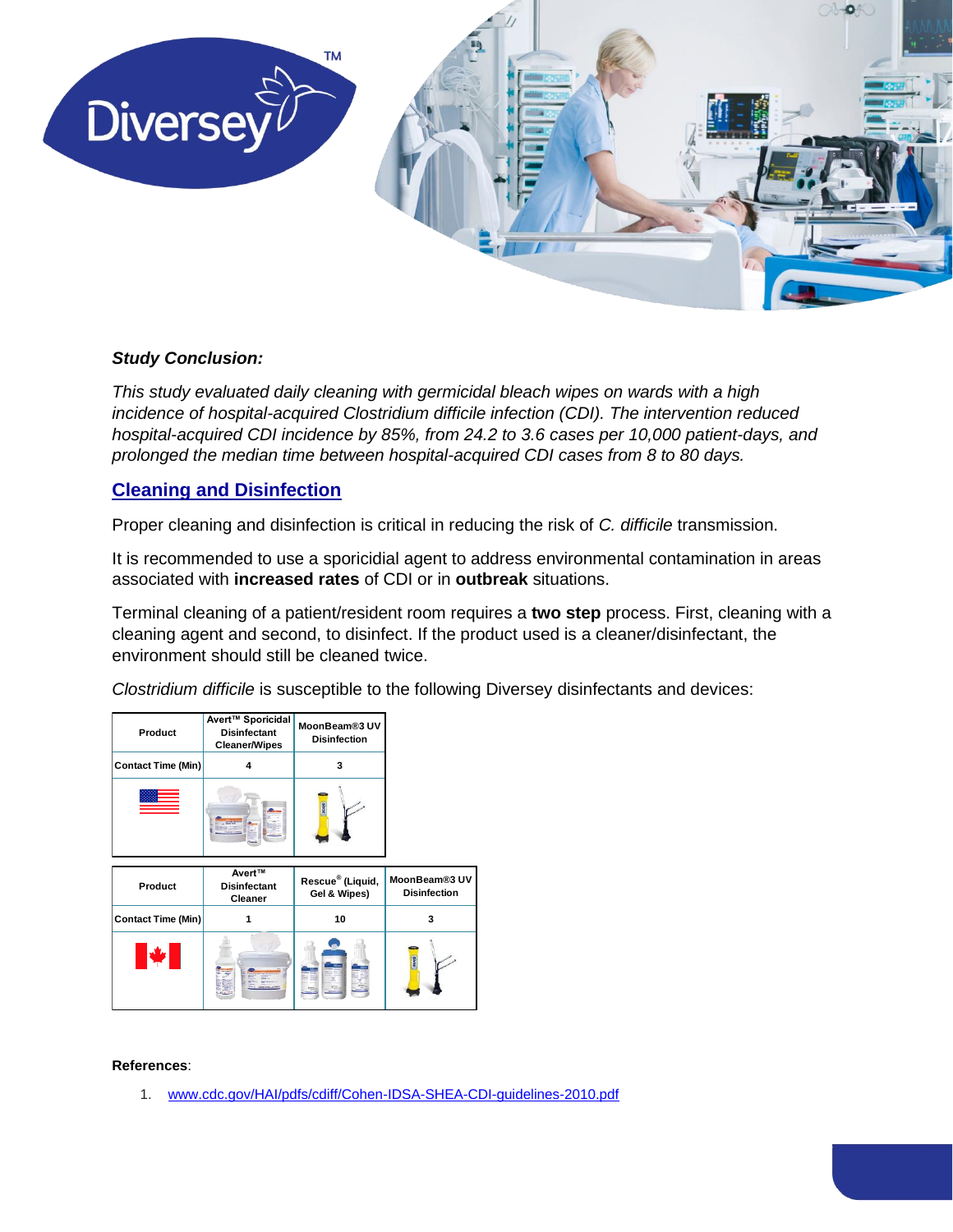

#### *Study Conclusion:*

*This study evaluated daily cleaning with germicidal bleach wipes on wards with a high incidence of hospital-acquired Clostridium difficile infection (CDI). The intervention reduced hospital-acquired CDI incidence by 85%, from 24.2 to 3.6 cases per 10,000 patient-days, and prolonged the median time between hospital-acquired CDI cases from 8 to 80 days.* 

#### **Cleaning and Disinfection**

Proper cleaning and disinfection is critical in reducing the risk of *C. difficile* transmission.

It is recommended to use a sporicidial agent to address environmental contamination in areas associated with **increased rates** of CDI or in **outbreak** situations.

Terminal cleaning of a patient/resident room requires a **two step** process. First, cleaning with a cleaning agent and second, to disinfect. If the product used is a cleaner/disinfectant, the environment should still be cleaned twice.

pg. 4

*Clostridium difficile* is susceptible to the following Diversey disinfectants and devices:

| Product                   | Avert <sup>™</sup> Sporicidal<br><b>Disinfectant</b><br><b>Cleaner/Wipes</b> | MoonBeam®3 UV<br><b>Disinfection</b>         |                                      |
|---------------------------|------------------------------------------------------------------------------|----------------------------------------------|--------------------------------------|
| <b>Contact Time (Min)</b> | 4                                                                            | 3                                            |                                      |
|                           |                                                                              | <b>NOOK</b>                                  |                                      |
|                           |                                                                              |                                              |                                      |
| Product                   | Avert™<br><b>Disinfectant</b><br>Cleaner                                     | Rescue <sup>®</sup> (Liquid,<br>Gel & Wipes) | MoonBeam®3 UV<br><b>Disinfection</b> |
| <b>Contact Time (Min)</b> |                                                                              | 10                                           | 3                                    |

#### **References**:

1. [www.cdc.gov/HAI/pdfs/cdiff/Cohen-IDSA-SHEA-CDI-guidelines-2010.pdf](http://www.cdc.gov/HAI/pdfs/cdiff/Cohen-IDSA-SHEA-CDI-guidelines-2010.pdf)